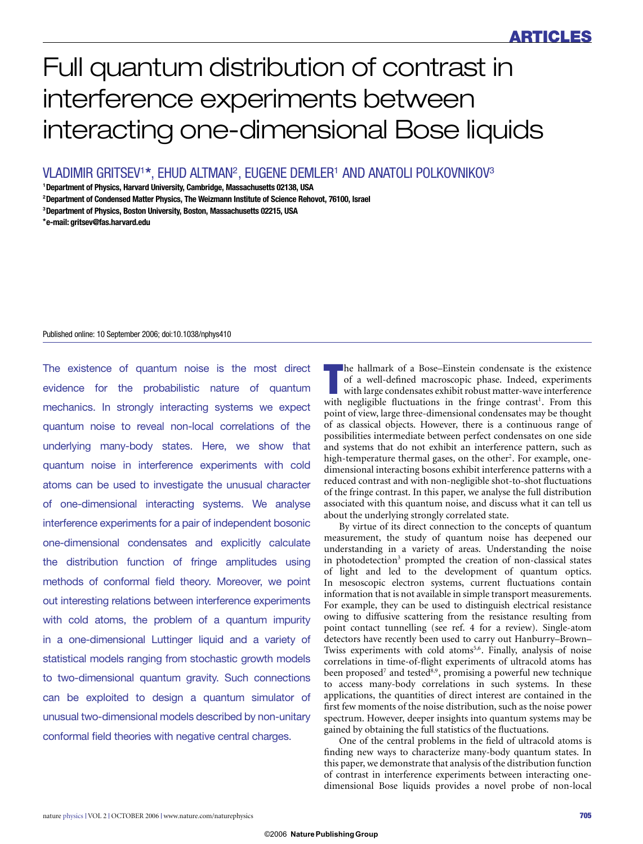# Full quantum distribution of contrast in interference experiments between interacting one-dimensional Bose liquids

VLADIMIR GRITSEV1**\***, EHUD ALTMAN2, EUGENE DEMLER<sup>1</sup> AND ANATOLI POLKOVNIKOV<sup>3</sup>

**2 Department of Condensed Matter Physics, The Weizmann Institute of Science Rehovot, 76100, Israel**

**3 Department of Physics, Boston University, Boston, Massachusetts 02215, USA**

**\*e-mail: gritsev@fas.harvard.edu**

### Published online: 10 September 2006; doi:10.1038/nphys410

The existence of quantum noise is the most direct evidence for the probabilistic nature of quantum mechanics. In strongly interacting systems we expect quantum noise to reveal non-local correlations of the underlying many-body states. Here, we show that quantum noise in interference experiments with cold atoms can be used to investigate the unusual character of one-dimensional interacting systems. We analyse interference experiments for a pair of independent bosonic one-dimensional condensates and explicitly calculate the distribution function of fringe amplitudes using methods of conformal field theory. Moreover, we point out interesting relations between interference experiments with cold atoms, the problem of a quantum impurity in a one-dimensional Luttinger liquid and a variety of statistical models ranging from stochastic growth models to two-dimensional quantum gravity. Such connections can be exploited to design a quantum simulator of unusual two-dimensional models described by non-unitary conformal field theories with negative central charges.

The hallmark of a Bose–Einstein condensate is the existence of a well-defined macroscopic phase. Indeed, experiments with large condensates exhibit robust matter-wave interference with negligible fluctuations in the fringe he hallmark of a Bose–Einstein condensate is the existence of a well-defined macroscopic phase. Indeed, experiments with large condensates exhibit robust matter-wave interference point of view, large three-dimensional condensates may be thought of as classical objects. However, there is a continuous range of possibilities intermediate between perfect condensates on one side and systems that do not exhibit an interference pattern, such as high-temperature thermal gases, on the other<sup>2</sup>. For example, onedimensional interacting bosons exhibit interference patterns with a reduced contrast and with non-negligible shot-to-shot fluctuations of the fringe contrast. In this paper, we analyse the full distribution associated with this quantum noise, and discuss what it can tell us about the underlying strongly correlated state.

By virtue of its direct connection to the concepts of quantum measurement, the study of quantum noise has deepened our understanding in a variety of areas. Understanding the noise in photodetection<sup>3</sup> prompted the creation of non-classical states of light and led to the development of quantum optics. In mesoscopic electron systems, current fluctuations contain information that is not available in simple transport measurements. For example, they can be used to distinguish electrical resistance owing to diffusive scattering from the resistance resulting from point contact tunnelling (see ref. 4 for a review). Single-atom detectors have recently been used to carry out Hanburry–Brown– Twiss experiments with cold atoms<sup>5,6</sup>. Finally, analysis of noise correlations in time-of-flight experiments of ultracold atoms has been proposed<sup>7</sup> and tested<sup>8,9</sup>, promising a powerful new technique to access many-body correlations in such systems. In these applications, the quantities of direct interest are contained in the first few moments of the noise distribution, such as the noise power spectrum. However, deeper insights into quantum systems may be gained by obtaining the full statistics of the fluctuations.

One of the central problems in the field of ultracold atoms is finding new ways to characterize many-body quantum states. In this paper, we demonstrate that analysis of the distribution function of contrast in interference experiments between interacting onedimensional Bose liquids provides a novel probe of non-local

**<sup>1</sup> Department of Physics, Harvard University, Cambridge, Massachusetts 02138, USA**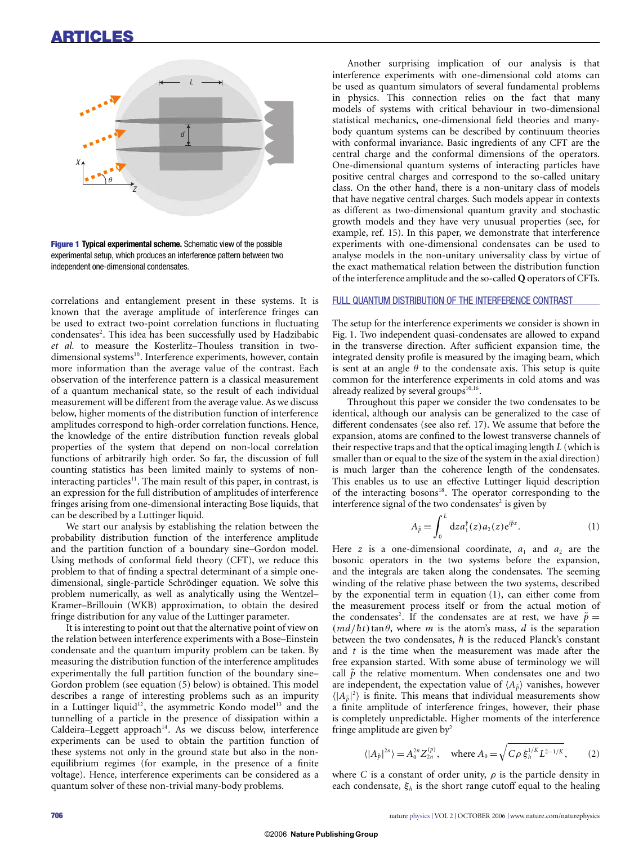

**Figure 1 Typical experimental scheme.** Schematic view of the possible experimental setup, which produces an interference pattern between two independent one-dimensional condensates.

correlations and entanglement present in these systems. It is known that the average amplitude of interference fringes can be used to extract two-point correlation functions in fluctuating condensates<sup>2</sup>. This idea has been successfully used by Hadzibabic *et al.* to measure the Kosterlitz–Thouless transition in twodimensional systems<sup>10</sup>. Interference experiments, however, contain more information than the average value of the contrast. Each observation of the interference pattern is a classical measurement of a quantum mechanical state, so the result of each individual measurement will be different from the average value. As we discuss below, higher moments of the distribution function of interference amplitudes correspond to high-order correlation functions. Hence, the knowledge of the entire distribution function reveals global properties of the system that depend on non-local correlation functions of arbitrarily high order. So far, the discussion of full counting statistics has been limited mainly to systems of noninteracting particles<sup>11</sup>. The main result of this paper, in contrast, is an expression for the full distribution of amplitudes of interference fringes arising from one-dimensional interacting Bose liquids, that can be described by a Luttinger liquid.

We start our analysis by establishing the relation between the probability distribution function of the interference amplitude and the partition function of a boundary sine–Gordon model. Using methods of conformal field theory (CFT), we reduce this problem to that of finding a spectral determinant of a simple onedimensional, single-particle Schrödinger equation. We solve this problem numerically, as well as analytically using the Wentzel– Kramer–Brillouin (WKB) approximation, to obtain the desired fringe distribution for any value of the Luttinger parameter.

It is interesting to point out that the alternative point of view on the relation between interference experiments with a Bose–Einstein condensate and the quantum impurity problem can be taken. By measuring the distribution function of the interference amplitudes experimentally the full partition function of the boundary sine– Gordon problem (see equation (5) below) is obtained. This model describes a range of interesting problems such as an impurity in a Luttinger liquid<sup>12</sup>, the asymmetric Kondo model<sup>13</sup> and the tunnelling of a particle in the presence of dissipation within a Caldeira–Leggett approach<sup>14</sup>. As we discuss below, interference experiments can be used to obtain the partition function of these systems not only in the ground state but also in the nonequilibrium regimes (for example, in the presence of a finite voltage). Hence, interference experiments can be considered as a quantum solver of these non-trivial many-body problems.

Another surprising implication of our analysis is that interference experiments with one-dimensional cold atoms can be used as quantum simulators of several fundamental problems in physics. This connection relies on the fact that many models of systems with critical behaviour in two-dimensional statistical mechanics, one-dimensional field theories and manybody quantum systems can be described by continuum theories with conformal invariance. Basic ingredients of any CFT are the central charge and the conformal dimensions of the operators. One-dimensional quantum systems of interacting particles have positive central charges and correspond to the so-called unitary class. On the other hand, there is a non-unitary class of models that have negative central charges. Such models appear in contexts as different as two-dimensional quantum gravity and stochastic growth models and they have very unusual properties (see, for example, ref. 15). In this paper, we demonstrate that interference experiments with one-dimensional condensates can be used to analyse models in the non-unitary universality class by virtue of the exact mathematical relation between the distribution function of the interference amplitude and the so-called **Q** operators of CFTs.

### FULL QUANTUM DISTRIBUTION OF THE INTERFERENCE CONTRAST

The setup for the interference experiments we consider is shown in Fig. 1. Two independent quasi-condensates are allowed to expand in the transverse direction. After sufficient expansion time, the integrated density profile is measured by the imaging beam, which is sent at an angle  $\theta$  to the condensate axis. This setup is quite common for the interference experiments in cold atoms and was already realized by several groups $10,16$ .

Throughout this paper we consider the two condensates to be identical, although our analysis can be generalized to the case of different condensates (see also ref. 17). We assume that before the expansion, atoms are confined to the lowest transverse channels of their respective traps and that the optical imaging length *L* (which is smaller than or equal to the size of the system in the axial direction) is much larger than the coherence length of the condensates. This enables us to use an effective Luttinger liquid description of the interacting bosons<sup>18</sup>. The operator corresponding to the interference signal of the two condensates $2$  is given by

$$
A_{\tilde{p}} = \int_0^L dz a_1^{\dagger}(z) a_2(z) e^{i\tilde{p}z}.
$$
 (1)

Here *z* is a one-dimensional coordinate,  $a_1$  and  $a_2$  are the bosonic operators in the two systems before the expansion, and the integrals are taken along the condensates. The seeming winding of the relative phase between the two systems, described by the exponential term in equation (1), can either come from the measurement process itself or from the actual motion of the condensates<sup>2</sup>. If the condensates are at rest, we have  $\tilde{p} =$  $(md/\hbar t)$  tan $\theta$ , where *m* is the atom's mass, *d* is the separation between the two condensates,  $\hbar$  is the reduced Planck's constant and *t* is the time when the measurement was made after the free expansion started. With some abuse of terminology we will call  $\tilde{p}$  the relative momentum. When condensates one and two are independent, the expectation value of  $\langle A_{\tilde{p}} \rangle$  vanishes, however  $\langle |A_{\tilde{p}}|^2 \rangle$  is finite. This means that individual measurements show a finite amplitude of interference fringes, however, their phase is completely unpredictable. Higher moments of the interference fringe amplitude are given by<sup>2</sup>

$$
\langle |A_{\tilde{p}}|^{2n} \rangle = A_0^{2n} Z_{2n}^{(p)}, \text{ where } A_0 = \sqrt{C \rho \xi_h^{1/K} L^{2-1/K}},
$$
 (2)

where *C* is a constant of order unity,  $\rho$  is the particle density in each condensate,  $\xi_h$  is the short range cutoff equal to the healing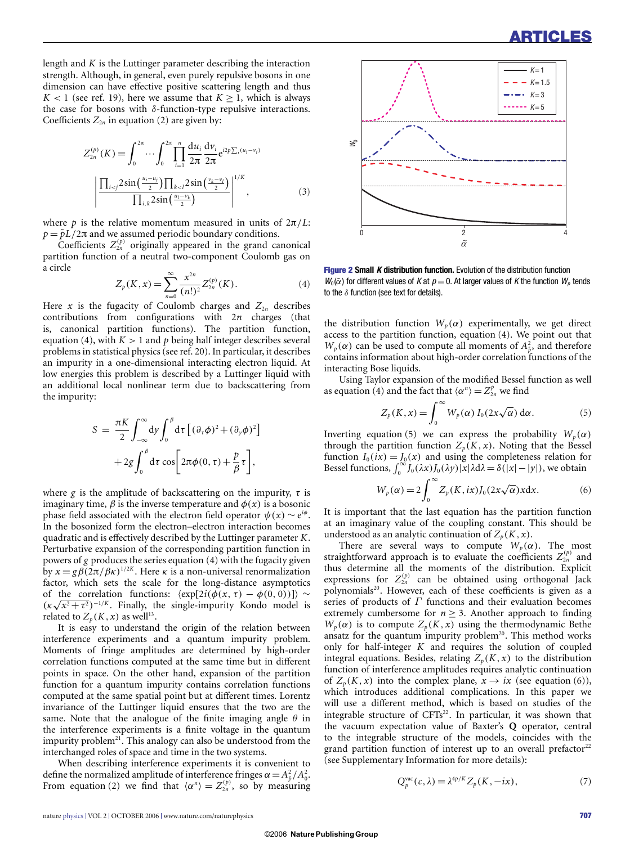# **ARTICLES**

length and *K* is the Luttinger parameter describing the interaction strength. Although, in general, even purely repulsive bosons in one dimension can have effective positive scattering length and thus *K* < 1 (see ref. 19), here we assume that  $K \geq 1$ , which is always the case for bosons with δ-function-type repulsive interactions. Coefficients  $Z_{2n}$  in equation (2) are given by:

$$
Z_{2n}^{(p)}(K) = \int_0^{2\pi} \cdots \int_0^{2\pi} \prod_{i=1}^n \frac{du_i}{2\pi} \frac{dv_i}{2\pi} e^{i2p \sum_i (u_i - v_i)}
$$

$$
\left| \frac{\prod_{i < j} 2\sin\left(\frac{u_i - u_j}{2}\right) \prod_{k < l} 2\sin\left(\frac{v_k - v_l}{2}\right)}{\prod_{i,k} 2\sin\left(\frac{u_i - v_k}{2}\right)} \right|^{1/K},\tag{3}
$$

where *p* is the relative momentum measured in units of  $2\pi/L$ :  $p = \tilde{p}L/2\pi$  and we assumed periodic boundary conditions.

Coefficients  $Z_{2n}^{(p)}$  originally appeared in the grand canonical partition function of a neutral two-component Coulomb gas on a circle

$$
Z_p(K, x) = \sum_{n=0}^{\infty} \frac{x^{2n}}{(n!)^2} Z_{2n}^{(p)}(K).
$$
 (4)

Here *x* is the fugacity of Coulomb charges and  $Z_{2n}$  describes contributions from configurations with 2*n* charges (that is, canonical partition functions). The partition function, equation (4), with  $K > 1$  and p being half integer describes several problems in statistical physics (see ref. 20). In particular, it describes an impurity in a one-dimensional interacting electron liquid. At low energies this problem is described by a Luttinger liquid with an additional local nonlinear term due to backscattering from the impurity:

$$
S = \frac{\pi K}{2} \int_{-\infty}^{\infty} dy \int_{0}^{\beta} d\tau \left[ (\partial_{\tau} \phi)^{2} + (\partial_{\gamma} \phi)^{2} \right] + 2g \int_{0}^{\beta} d\tau \cos \left[ 2\pi \phi(0, \tau) + \frac{p}{\beta} \tau \right],
$$

where *g* is the amplitude of backscattering on the impurity,  $\tau$  is imaginary time,  $β$  is the inverse temperature and  $φ(x)$  is a bosonic phase field associated with the electron field operator  $\psi(x) \sim e^{i\phi}$ . In the bosonized form the electron–electron interaction becomes quadratic and is effectively described by the Luttinger parameter *K*. Perturbative expansion of the corresponding partition function in powers of *g* produces the series equation (4) with the fugacity given by  $x = g\beta(2\pi/\beta\kappa)^{1/2K}$ . Here *k* is a non-universal renormalization factor, which sets the scale for the long-distance asymptotics of the correlation functions:  $\langle \exp[2i(\phi(x, \tau) - \phi(0, 0))] \rangle \sim$  $(\kappa\sqrt{x^2+\tau^2})^{-1/K}$ . Finally, the single-impurity Kondo model is related to  $Z_p(K, x)$  as well<sup>13</sup>.

It is easy to understand the origin of the relation between interference experiments and a quantum impurity problem. Moments of fringe amplitudes are determined by high-order correlation functions computed at the same time but in different points in space. On the other hand, expansion of the partition function for a quantum impurity contains correlation functions computed at the same spatial point but at different times. Lorentz invariance of the Luttinger liquid ensures that the two are the same. Note that the analogue of the finite imaging angle  $\theta$  in the interference experiments is a finite voltage in the quantum impurity problem<sup>21</sup>. This analogy can also be understood from the interchanged roles of space and time in the two systems.

When describing interference experiments it is convenient to define the normalized amplitude of interference fringes  $\alpha = A_{\tilde{p}}^2 / A_0^2$ . From equation (2) we find that  $\langle \alpha^n \rangle = Z_{2n}^{(p)}$ , so by measuring



**Figure 2 Small** *K* **distribution function.** Evolution of the distribution function  $W_0(\tilde{\alpha})$  for different values of K at  $p=0$ . At larger values of K the function  $W_p$  tends to the  $\delta$  function (see text for details).

the distribution function  $W_p(\alpha)$  experimentally, we get direct access to the partition function, equation (4). We point out that  $W_p(\alpha)$  can be used to compute all moments of  $A_{\tilde{p}}^2$ , and therefore contains information about high-order correlation functions of the interacting Bose liquids.

Using Taylor expansion of the modified Bessel function as well as equation (4) and the fact that  $\langle \alpha^n \rangle = Z_{2n}^p$  we find

$$
Z_p(K, x) = \int_0^\infty W_p(\alpha) I_0(2x\sqrt{\alpha}) d\alpha.
$$
 (5)

Inverting equation (5) we can express the probability  $W_p(\alpha)$ through the partition function  $Z_p(K, x)$ . Noting that the Bessel function  $I_0(ix) = I_0(x)$  and using the completeness relation for Bessel functions,  $\int_0^\infty J_0(\lambda x)J_0(\lambda y)|x|\lambda d\lambda = \delta(|x| - |y|)$ , we obtain

$$
W_p(\alpha) = 2 \int_0^\infty Z_p(K, ix) J_0(2x\sqrt{\alpha}) x \mathrm{d}x. \tag{6}
$$

It is important that the last equation has the partition function at an imaginary value of the coupling constant. This should be understood as an analytic continuation of  $Z_p(K, x)$ .

There are several ways to compute  $W_p(\alpha)$ . The most straightforward approach is to evaluate the coefficients  $Z_{2n}^{(p)}$  and thus determine all the moments of the distribution. Explicit expressions for  $Z_{2n}^{(p)}$  can be obtained using orthogonal Jack polynomials<sup>20</sup>. However, each of these coefficients is given as a series of products of  $\Gamma$  functions and their evaluation becomes extremely cumbersome for  $n \geq 3$ . Another approach to finding  $W_p(\alpha)$  is to compute  $Z_p(K, x)$  using the thermodynamic Bethe ansatz for the quantum impurity problem $^{20}$ . This method works only for half-integer *K* and requires the solution of coupled integral equations. Besides, relating  $Z_p(K, x)$  to the distribution function of interference amplitudes requires analytic continuation of  $Z_p(K, x)$  into the complex plane,  $x \to ix$  (see equation (6)), which introduces additional complications. In this paper we will use a different method, which is based on studies of the integrable structure of CFTs<sup>22</sup>. In particular, it was shown that the vacuum expectation value of Baxter's **Q** operator, central to the integrable structure of the models, coincides with the grand partition function of interest up to an overall prefactor<sup>22</sup> (see Supplementary Information for more details):

$$
Q_p^{\text{vac}}(c,\lambda) = \lambda^{4p/K} Z_p(K, -ix), \qquad (7)
$$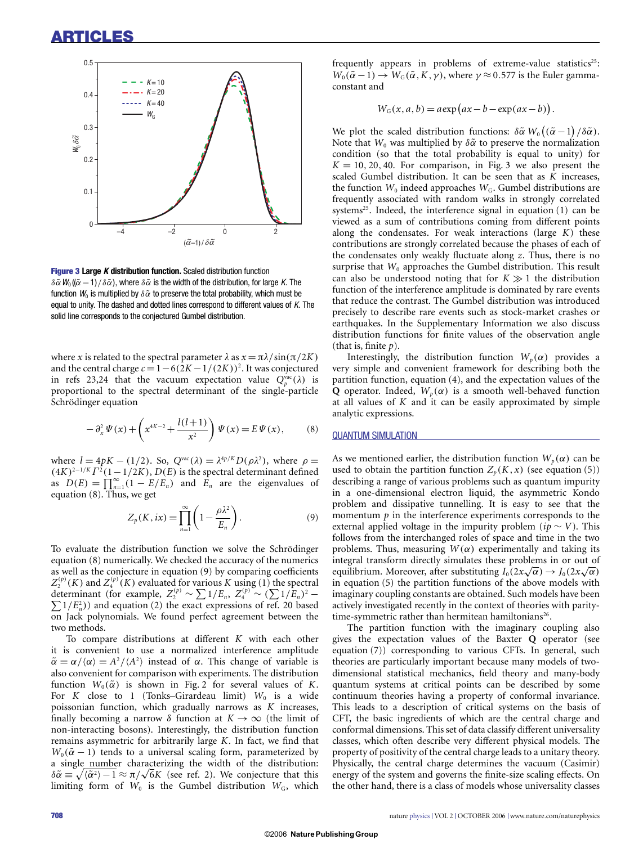## **ARTICLES**



**Figure 3 Large** *K* **distribution function.** Scaled distribution function  $\delta \tilde{\alpha} W_0$  (( $\tilde{\alpha} - 1$ ) /  $\delta \tilde{\alpha}$ ), where  $\delta \tilde{\alpha}$  is the width of the distribution, for large K. The function  $W_0$  is multiplied by  $\delta\tilde{\alpha}$  to preserve the total probability, which must be equal to unity. The dashed and dotted lines correspond to different values of  $K$ . The solid line corresponds to the conjectured Gumbel distribution.

where *x* is related to the spectral parameter  $\lambda$  as  $x = \pi \lambda / \sin(\pi/2K)$ and the central charge  $c = 1 - 6(2K - 1/(2K))^2$ . It was conjectured in refs 23,24 that the vacuum expectation value  $Q_p^{\text{vac}}(\lambda)$  is proportional to the spectral determinant of the single-particle Schrödinger equation

$$
- \partial_x^2 \Psi(x) + \left( x^{4K-2} + \frac{l(l+1)}{x^2} \right) \Psi(x) = E \Psi(x), \quad (8)
$$

where  $l = 4pK - (1/2)$ . So,  $Q^{\text{vac}}(\lambda) = \lambda^{4p/K} D(\rho \lambda^2)$ , where  $\rho =$  $(4K)^{2-1/K} \Gamma^2(1-1/2K)$ ,  $D(E)$  is the spectral determinant defined as  $D(E) = \prod_{n=1}^{\infty} (1 - E/E_n)$  and  $E_n$  are the eigenvalues of equation (8). Thus, we get

$$
Z_p(K, ix) = \prod_{n=1}^{\infty} \left( 1 - \frac{\rho \lambda^2}{E_n} \right). \tag{9}
$$

To evaluate the distribution function we solve the Schrödinger equation (8) numerically. We checked the accuracy of the numerics as well as the conjecture in equation (9) by comparing coefficients  $Z_2^{(p)}(K)$  and  $Z_4^{(p)}(K)$  evaluated for various *K* using (1) the spectral determinant (for example,  $Z_2^{(p)} \sim \sum 1/E_n$ ,  $Z_4^{(p)} \sim (\sum 1/E_n)$ determinant (for example,  $Z_2^{(p)} \sim \sum 1/E_n$ ,  $Z_4^{(p)} \sim (\sum 1/E_n)^2 - (\sum 1/E_n^2)$ ) and equation (2) the exact expressions of ref. 20 based on Jack polynomials. We found perfect agreement between the two methods.

To compare distributions at different *K* with each other it is convenient to use a normalized interference amplitude  $\tilde{\alpha} = \alpha / \langle \alpha \rangle = A^2 / \langle A^2 \rangle$  instead of  $\alpha$ . This change of variable is also convenient for comparison with experiments. The distribution function  $W_0(\tilde{\alpha})$  is shown in Fig. 2 for several values of *K*. For *K* close to 1 (Tonks–Girardeau limit)  $W_0$  is a wide poissonian function, which gradually narrows as *K* increases, finally becoming a narrow  $\delta$  function at  $K \to \infty$  (the limit of non-interacting bosons). Interestingly, the distribution function remains asymmetric for arbitrarily large *K*. In fact, we find that  $W_0(\tilde{\alpha} - 1)$  tends to a universal scaling form, parameterized by a single number characterizing the width of the distribution:  $\delta \tilde{\alpha} \equiv \sqrt{\langle \tilde{\alpha}^2 \rangle - 1} \approx \pi / \sqrt{6} K$  (see ref. 2). We conjecture that this limiting form of  $W_0$  is the Gumbel distribution  $W_G$ , which frequently appears in problems of extreme-value statistics<sup>25</sup>:  $W_0(\tilde{\alpha}-1) \rightarrow W_{\tilde{G}}(\tilde{\alpha}, K, \gamma)$ , where  $\gamma \approx 0.577$  is the Euler gammaconstant and

$$
W_{\mathcal{G}}(x, a, b) = a \exp\left(ax - b - \exp(ax - b)\right).
$$

We plot the scaled distribution functions:  $\delta \tilde{\alpha} W_0 \left( (\tilde{\alpha} - 1) / \delta \tilde{\alpha} \right)$ . Note that  $W_0$  was multiplied by  $\delta \tilde{\alpha}$  to preserve the normalization condition (so that the total probability is equal to unity) for  $K = 10, 20, 40$ . For comparison, in Fig. 3 we also present the scaled Gumbel distribution. It can be seen that as *K* increases, the function  $W_0$  indeed approaches  $W_G$ . Gumbel distributions are frequently associated with random walks in strongly correlated systems<sup>25</sup>. Indeed, the interference signal in equation  $(1)$  can be viewed as a sum of contributions coming from different points along the condensates. For weak interactions (large *K*) these contributions are strongly correlated because the phases of each of the condensates only weakly fluctuate along *z*. Thus, there is no surprise that  $W_0$  approaches the Gumbel distribution. This result can also be understood noting that for  $K \gg 1$  the distribution function of the interference amplitude is dominated by rare events that reduce the contrast. The Gumbel distribution was introduced precisely to describe rare events such as stock-market crashes or earthquakes. In the Supplementary Information we also discuss distribution functions for finite values of the observation angle (that is, finite *p*).

Interestingly, the distribution function  $W_p(\alpha)$  provides a very simple and convenient framework for describing both the partition function, equation (4), and the expectation values of the **Q** operator. Indeed,  $W_p(\alpha)$  is a smooth well-behaved function at all values of *K* and it can be easily approximated by simple analytic expressions.

#### QUANTUM SIMULATION

As we mentioned earlier, the distribution function  $W_p(\alpha)$  can be used to obtain the partition function  $Z_p(K, x)$  (see equation (5)) describing a range of various problems such as quantum impurity in a one-dimensional electron liquid, the asymmetric Kondo problem and dissipative tunnelling. It is easy to see that the momentum *p* in the interference experiments corresponds to the external applied voltage in the impurity problem ( $ip \sim V$ ). This follows from the interchanged roles of space and time in the two problems. Thus, measuring  $W(\alpha)$  experimentally and taking its integral transform directly simulates these problems in or out of equilibrium. Moreover, after substituting  $I_0(2x\sqrt{\alpha}) \to I_0(2x\sqrt{\alpha})$ in equation (5) the partition functions of the above models with imaginary coupling constants are obtained. Such models have been actively investigated recently in the context of theories with paritytime-symmetric rather than hermitean hamiltonians<sup>26</sup>.

The partition function with the imaginary coupling also gives the expectation values of the Baxter **Q** operator (see equation (7)) corresponding to various CFTs. In general, such theories are particularly important because many models of twodimensional statistical mechanics, field theory and many-body quantum systems at critical points can be described by some continuum theories having a property of conformal invariance. This leads to a description of critical systems on the basis of CFT, the basic ingredients of which are the central charge and conformal dimensions. This set of data classify different universality classes, which often describe very different physical models. The property of positivity of the central charge leads to a unitary theory. Physically, the central charge determines the vacuum (Casimir) energy of the system and governs the finite-size scaling effects. On the other hand, there is a class of models whose universality classes